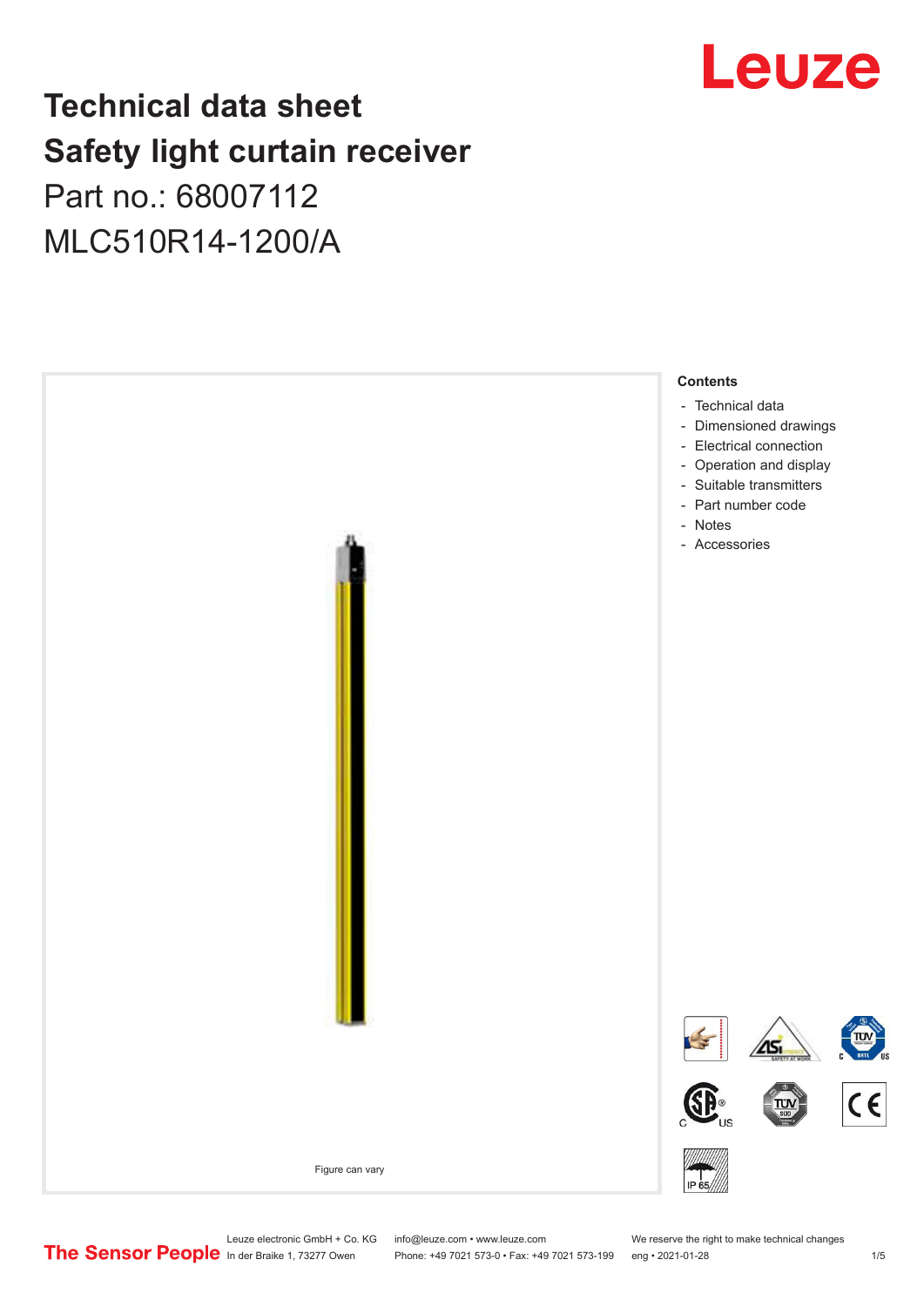# Leuze

## **Technical data sheet Safety light curtain receiver**

## Part no.: 68007112 MLC510R14-1200/A



Leuze electronic GmbH + Co. KG info@leuze.com • www.leuze.com We reserve the right to make technical changes<br>
The Sensor People in der Braike 1, 73277 Owen Phone: +49 7021 573-0 • Fax: +49 7021 573-199 eng • 2021-01-28

Phone: +49 7021 573-0 • Fax: +49 7021 573-199 eng • 2021-01-28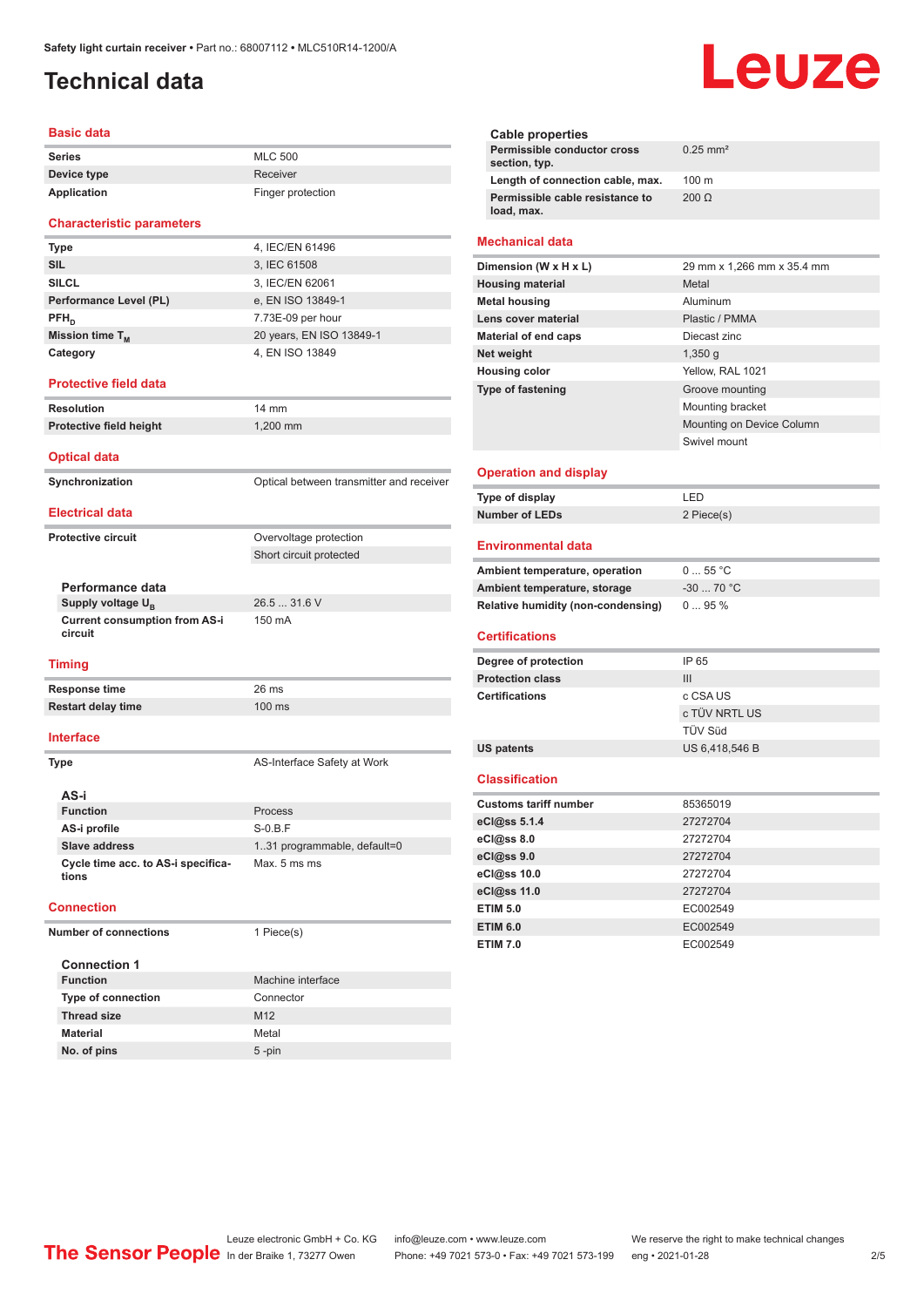## <span id="page-1-0"></span>**Technical data**

#### **Basic data**

| <b>Series</b> | <b>MLC 500</b>    |
|---------------|-------------------|
| Device type   | Receiver          |
| Application   | Finger protection |

#### **Characteristic parameters**

| <b>Type</b>                 | 4, IEC/EN 61496          |
|-----------------------------|--------------------------|
| <b>SIL</b>                  | 3, IEC 61508             |
| <b>SILCL</b>                | 3, IEC/EN 62061          |
| Performance Level (PL)      | e, EN ISO 13849-1        |
| $PFH_{n}$                   | 7.73E-09 per hour        |
| Mission time T <sub>M</sub> | 20 years, EN ISO 13849-1 |
| Category                    | 4, EN ISO 13849          |

#### **Protective field data**

**Resolution** 14 mm **Protective field height** 1,200 mm

#### **Optical data**

**Synchronization Synchronization** Optical between transmitter and receiver **Electrical data**

Short circuit protected

#### **Protective circuit COVER COVER COVER COVER COVER COVER COVER COVER COVER COVER COVER COVER COVER COVER COVER**

**Performance data Supply voltage U<sub>B</sub> Current consumption from AS-i** 

26.5 ... 31.6 V 150 mA

#### **Timing**

**circuit**

**Response time** 26 ms **Restart delay time** 100 ms

#### **Interface**

**Type AS-Interface Safety at Work AS-i Function** Process **AS-i profile** S-0.B.F **Slave address** 1..31 programmable, default=0 **Cycle time acc. to AS-i specifications** Max. 5 ms ms

#### **Connection**

**Number of connections** 1 Piece(s)

| <b>Connection 1</b>       |                   |
|---------------------------|-------------------|
| <b>Function</b>           | Machine interface |
| <b>Type of connection</b> | Connector         |
| <b>Thread size</b>        | M <sub>12</sub>   |
| <b>Material</b>           | Metal             |
| No. of pins               | $5 - pin$         |

# Leuze

| Cable properties                              |                        |
|-----------------------------------------------|------------------------|
| Permissible conductor cross<br>section, typ.  | $0.25$ mm <sup>2</sup> |
| Length of connection cable, max.              | $100 \text{ m}$        |
| Permissible cable resistance to<br>load, max. | $200 \Omega$           |
|                                               |                        |

#### **Mechanical data**

| Dimension (W x H x L)       | 29 mm x 1,266 mm x 35.4 mm |
|-----------------------------|----------------------------|
| <b>Housing material</b>     | Metal                      |
| <b>Metal housing</b>        | Aluminum                   |
| Lens cover material         | Plastic / PMMA             |
| <b>Material of end caps</b> | Diecast zinc               |
| Net weight                  | $1,350$ q                  |
| <b>Housing color</b>        | Yellow, RAL 1021           |
| <b>Type of fastening</b>    | Groove mounting            |
|                             | Mounting bracket           |
|                             | Mounting on Device Column  |
|                             | Swivel mount               |
|                             |                            |

#### **Operation and display**

| Type of display       | I FD.      |
|-----------------------|------------|
| <b>Number of LEDs</b> | 2 Piece(s) |

#### **Environmental data**

| Ambient temperature, operation     | $055$ °C   |
|------------------------------------|------------|
| Ambient temperature, storage       | $-3070 °C$ |
| Relative humidity (non-condensing) | $095\%$    |

#### **Certifications**

| Degree of protection    | IP 65          |
|-------------------------|----------------|
| <b>Protection class</b> | Ш              |
| <b>Certifications</b>   | c CSA US       |
|                         | c TÜV NRTL US  |
|                         | TÜV Süd        |
| US patents              | US 6,418,546 B |

#### **Classification**

| <b>Customs tariff number</b> | 85365019 |
|------------------------------|----------|
| eCl@ss 5.1.4                 | 27272704 |
| eCl@ss 8.0                   | 27272704 |
| $eC$ <sub>l</sub> $@ss$ 9.0  | 27272704 |
| eCl@ss 10.0                  | 27272704 |
| eCl@ss 11.0                  | 27272704 |
| <b>ETIM 5.0</b>              | EC002549 |
| <b>ETIM 6.0</b>              | EC002549 |
| <b>ETIM 7.0</b>              | EC002549 |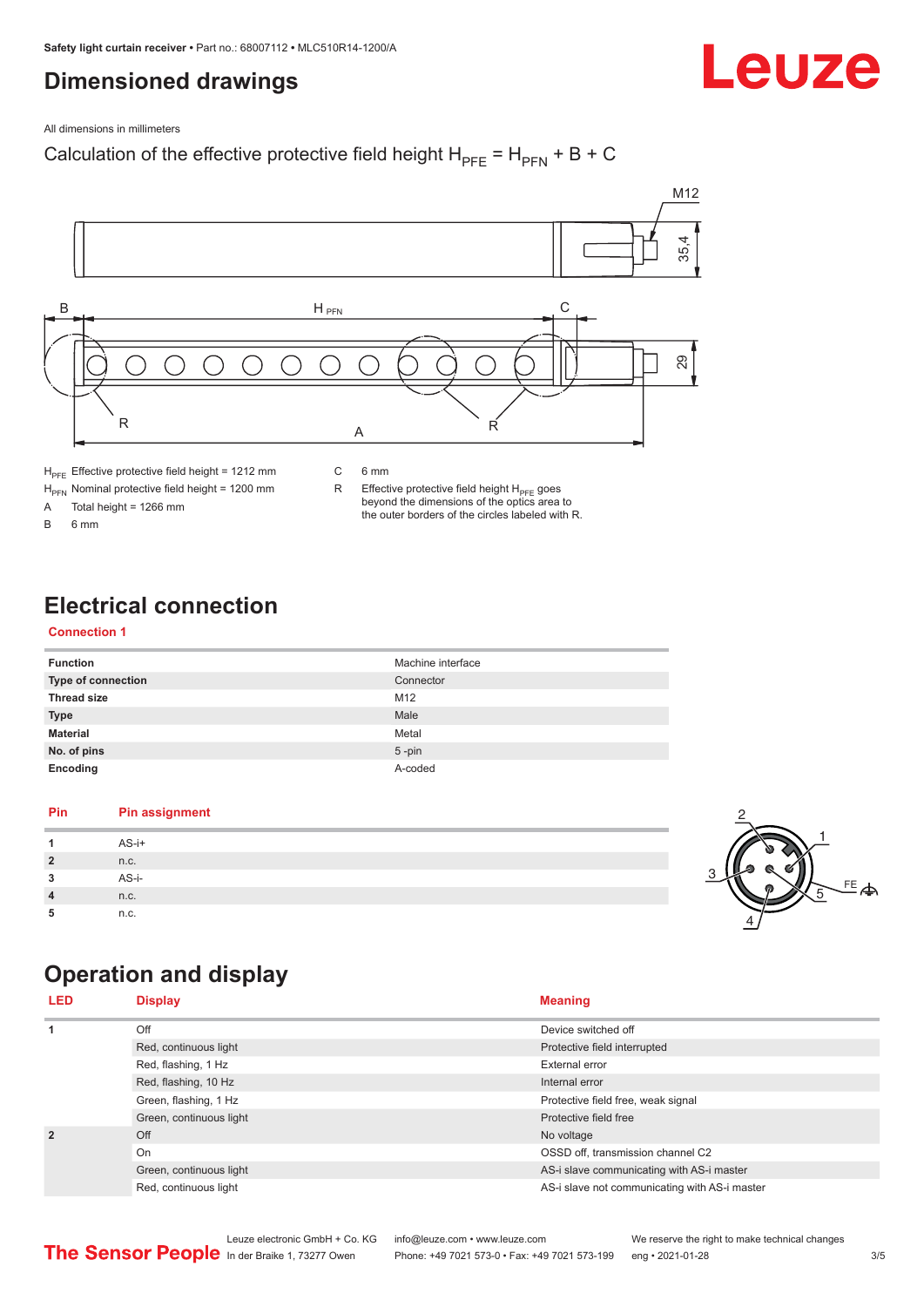## <span id="page-2-0"></span>**Dimensioned drawings**

Leuze

All dimensions in millimeters

### Calculation of the effective protective field height  $H_{PFE} = H_{PFN} + B + C$



 $H<sub>PE</sub>$  Effective protective field height = 1212 mm

 $H_{\text{PFN}}$  Nominal protective field height = 1200 mm<br>A Total height = 1266 mm

Total height =  $1266$  mm

B 6 mm

R Effective protective field height  $H_{PFE}$  goes beyond the dimensions of the optics area to the outer borders of the circles labeled with R.

## **Electrical connection**

#### **Connection 1**

| <b>Function</b>           | Machine interface |
|---------------------------|-------------------|
| <b>Type of connection</b> | Connector         |
| <b>Thread size</b>        | M <sub>12</sub>   |
| <b>Type</b>               | Male              |
| <b>Material</b>           | Metal             |
| No. of pins               | $5$ -pin          |
| Encoding                  | A-coded           |

#### **Pin Pin assignment 1** AS-i+ **2** n.c. **3** AS-i-**4** n.c. **5** n.c.



## **Operation and display**

| <b>LED</b>                                    | <b>Display</b>          | <b>Meaning</b>                                |
|-----------------------------------------------|-------------------------|-----------------------------------------------|
| 1                                             | Off                     | Device switched off                           |
|                                               | Red, continuous light   | Protective field interrupted                  |
|                                               | Red, flashing, 1 Hz     | External error                                |
| Red, flashing, 10 Hz<br>Green, flashing, 1 Hz |                         | Internal error                                |
|                                               |                         | Protective field free, weak signal            |
|                                               | Green, continuous light | Protective field free                         |
| $\overline{2}$                                | Off                     | No voltage                                    |
|                                               | On                      | OSSD off. transmission channel C2             |
|                                               | Green, continuous light | AS-i slave communicating with AS-i master     |
|                                               | Red, continuous light   | AS-i slave not communicating with AS-i master |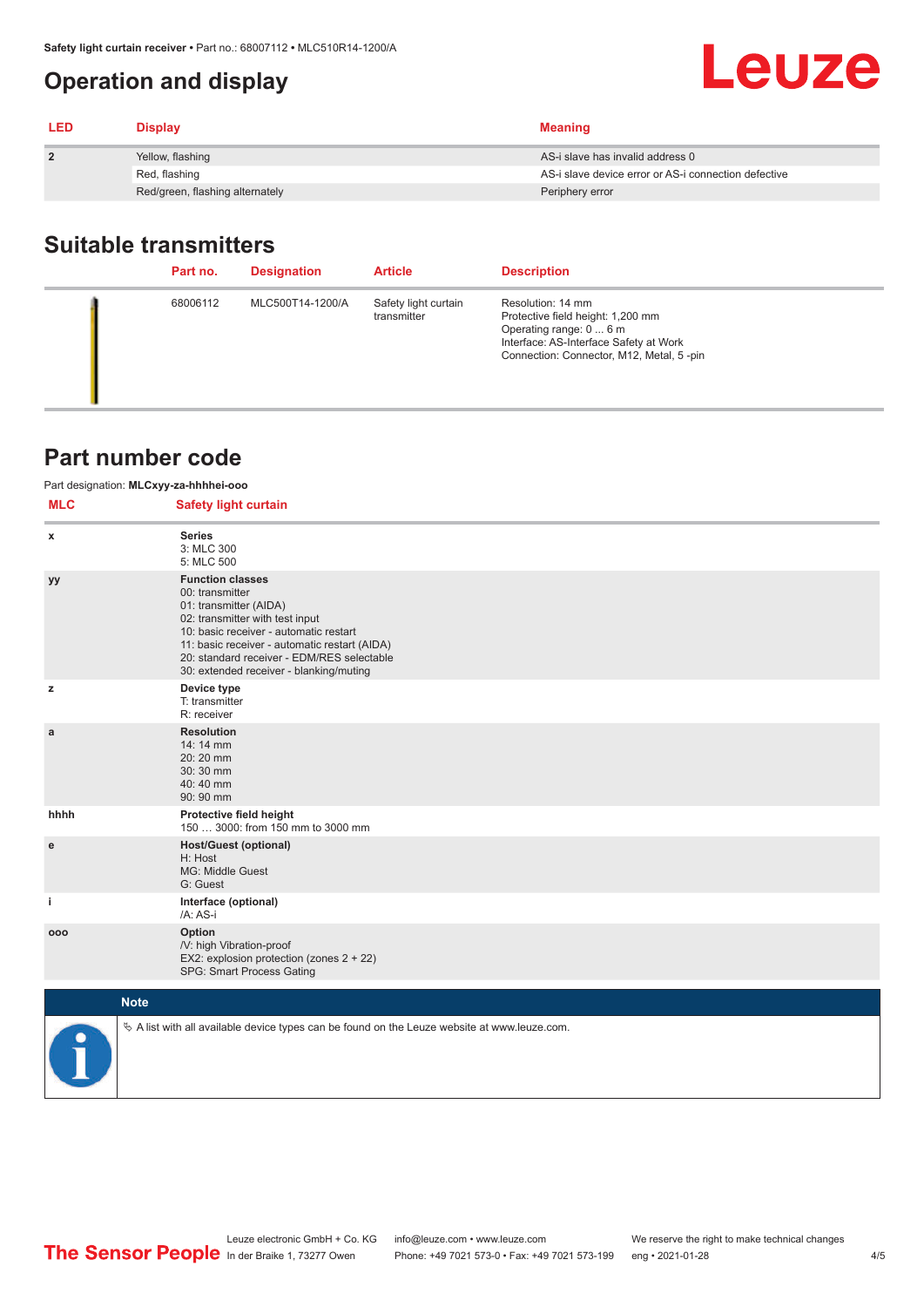## <span id="page-3-0"></span>**Operation and display**

| <b>LED</b>     | <b>Display</b>                  | <b>Meaning</b>                                       |
|----------------|---------------------------------|------------------------------------------------------|
| $\overline{2}$ | Yellow, flashing                | AS-i slave has invalid address 0                     |
|                | Red, flashing                   | AS-i slave device error or AS-i connection defective |
|                | Red/green, flashing alternately | Periphery error                                      |

## **Suitable transmitters**

| Part no. | <b>Designation</b> | <b>Article</b>                      | <b>Description</b>                                                                                                                                                      |
|----------|--------------------|-------------------------------------|-------------------------------------------------------------------------------------------------------------------------------------------------------------------------|
| 68006112 | MLC500T14-1200/A   | Safety light curtain<br>transmitter | Resolution: 14 mm<br>Protective field height: 1,200 mm<br>Operating range: 0  6 m<br>Interface: AS-Interface Safety at Work<br>Connection: Connector, M12, Metal, 5-pin |

## **Part number code**

| Part designation: MLCxyy-za-hhhhei-ooo |                                                                                                                                                                                                                                                                                             |  |  |
|----------------------------------------|---------------------------------------------------------------------------------------------------------------------------------------------------------------------------------------------------------------------------------------------------------------------------------------------|--|--|
| <b>MLC</b>                             | <b>Safety light curtain</b>                                                                                                                                                                                                                                                                 |  |  |
| x                                      | <b>Series</b><br>3: MLC 300<br>5: MLC 500                                                                                                                                                                                                                                                   |  |  |
| уу                                     | <b>Function classes</b><br>00: transmitter<br>01: transmitter (AIDA)<br>02: transmitter with test input<br>10: basic receiver - automatic restart<br>11: basic receiver - automatic restart (AIDA)<br>20: standard receiver - EDM/RES selectable<br>30: extended receiver - blanking/muting |  |  |
| z                                      | Device type<br>T: transmitter<br>R: receiver                                                                                                                                                                                                                                                |  |  |
| a                                      | <b>Resolution</b><br>14:14 mm<br>20:20 mm<br>30:30 mm<br>40:40 mm<br>90: 90 mm                                                                                                                                                                                                              |  |  |
| hhhh                                   | Protective field height<br>150  3000: from 150 mm to 3000 mm                                                                                                                                                                                                                                |  |  |
| e                                      | <b>Host/Guest (optional)</b><br>H: Host<br>MG: Middle Guest<br>G: Guest                                                                                                                                                                                                                     |  |  |
| i.                                     | Interface (optional)<br>/A: AS-i                                                                                                                                                                                                                                                            |  |  |
| 000                                    | Option<br>/V: high Vibration-proof<br>EX2: explosion protection (zones 2 + 22)<br>SPG: Smart Process Gating                                                                                                                                                                                 |  |  |
|                                        | <b>Note</b>                                                                                                                                                                                                                                                                                 |  |  |
|                                        | $\&$ A list with all available device types can be found on the Leuze website at www.leuze.com.                                                                                                                                                                                             |  |  |

Leuze